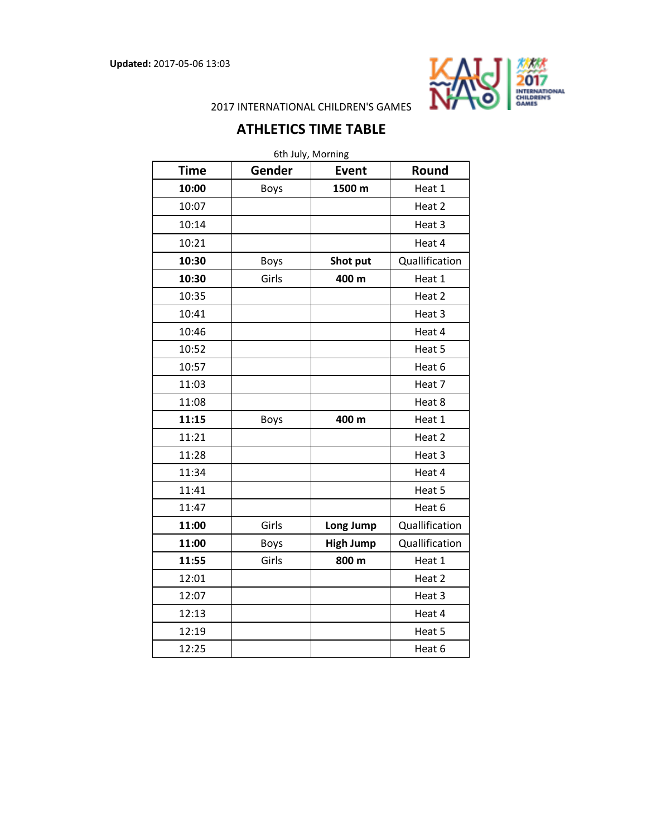

2017 INTERNATIONAL CHILDREN'S GAMES

## **ATHLETICS TIME TABLE**

| 6th July, Morning |             |                  |                |
|-------------------|-------------|------------------|----------------|
| <b>Time</b>       | Gender      | <b>Event</b>     | Round          |
| 10:00             | Boys        | 1500 m           | Heat 1         |
| 10:07             |             |                  | Heat 2         |
| 10:14             |             |                  | Heat 3         |
| 10:21             |             |                  | Heat 4         |
| 10:30             | <b>Boys</b> | Shot put         | Quallification |
| 10:30             | Girls       | 400 m            | Heat 1         |
| 10:35             |             |                  | Heat 2         |
| 10:41             |             |                  | Heat 3         |
| 10:46             |             |                  | Heat 4         |
| 10:52             |             |                  | Heat 5         |
| 10:57             |             |                  | Heat 6         |
| 11:03             |             |                  | Heat 7         |
| 11:08             |             |                  | Heat 8         |
| 11:15             | <b>Boys</b> | 400 m            | Heat 1         |
| 11:21             |             |                  | Heat 2         |
| 11:28             |             |                  | Heat 3         |
| 11:34             |             |                  | Heat 4         |
| 11:41             |             |                  | Heat 5         |
| 11:47             |             |                  | Heat 6         |
| 11:00             | Girls       | Long Jump        | Quallification |
| 11:00             | Boys        | <b>High Jump</b> | Quallification |
| 11:55             | Girls       | 800 m            | Heat 1         |
| 12:01             |             |                  | Heat 2         |
| 12:07             |             |                  | Heat 3         |
| 12:13             |             |                  | Heat 4         |
| 12:19             |             |                  | Heat 5         |
| 12:25             |             |                  | Heat 6         |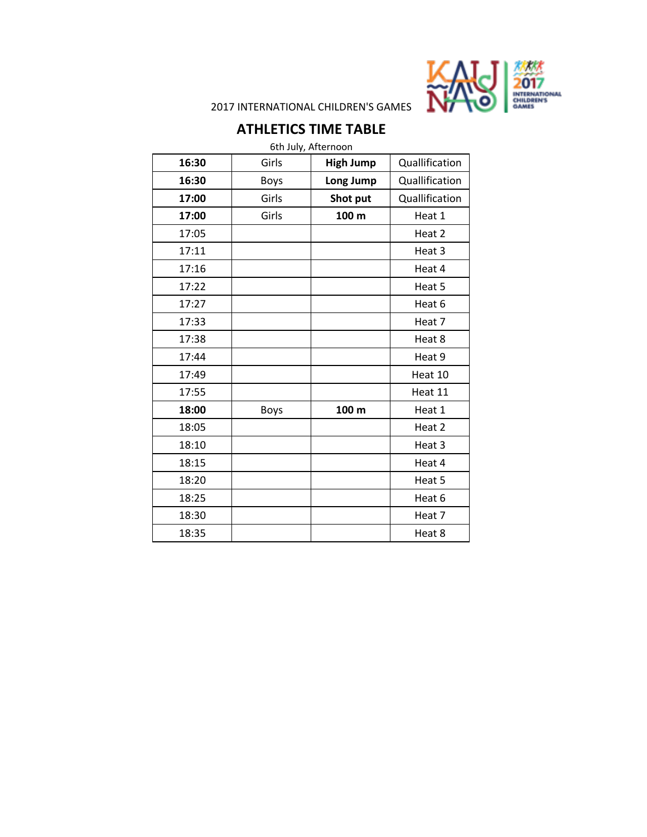

2017 INTERNATIONAL CHILDREN'S GAMES

## **ATHLETICS TIME TABLE**

6th July, Afternoon

| Quallification<br>Girls<br><b>High Jump</b><br>16:30<br>16:30<br>Quallification<br>Long Jump<br><b>Boys</b><br>Girls<br>Shot put<br>Quallification<br>17:00<br>Girls<br>100 m<br>Heat 1<br>17:00<br>17:05<br>Heat 2<br>17:11<br>Heat 3<br>17:16<br>Heat 4<br>17:22<br>Heat 5<br>Heat 6<br>17:27<br>17:33<br>Heat 7<br>17:38<br>Heat 8<br>17:44<br>Heat 9<br>17:49<br>Heat 10<br>17:55<br>Heat 11<br>18:00<br>100 m<br>Heat 1<br><b>Boys</b><br>18:05<br>Heat 2<br>18:10<br>Heat 3<br>18:15<br>Heat 4<br>Heat 5<br>18:20<br>18:25<br>Heat 6<br>18:30<br>Heat 7<br>18:35<br>Heat 8 | UUTJUJY, AILEHTUUTT |  |
|----------------------------------------------------------------------------------------------------------------------------------------------------------------------------------------------------------------------------------------------------------------------------------------------------------------------------------------------------------------------------------------------------------------------------------------------------------------------------------------------------------------------------------------------------------------------------------|---------------------|--|
|                                                                                                                                                                                                                                                                                                                                                                                                                                                                                                                                                                                  |                     |  |
|                                                                                                                                                                                                                                                                                                                                                                                                                                                                                                                                                                                  |                     |  |
|                                                                                                                                                                                                                                                                                                                                                                                                                                                                                                                                                                                  |                     |  |
|                                                                                                                                                                                                                                                                                                                                                                                                                                                                                                                                                                                  |                     |  |
|                                                                                                                                                                                                                                                                                                                                                                                                                                                                                                                                                                                  |                     |  |
|                                                                                                                                                                                                                                                                                                                                                                                                                                                                                                                                                                                  |                     |  |
|                                                                                                                                                                                                                                                                                                                                                                                                                                                                                                                                                                                  |                     |  |
|                                                                                                                                                                                                                                                                                                                                                                                                                                                                                                                                                                                  |                     |  |
|                                                                                                                                                                                                                                                                                                                                                                                                                                                                                                                                                                                  |                     |  |
|                                                                                                                                                                                                                                                                                                                                                                                                                                                                                                                                                                                  |                     |  |
|                                                                                                                                                                                                                                                                                                                                                                                                                                                                                                                                                                                  |                     |  |
|                                                                                                                                                                                                                                                                                                                                                                                                                                                                                                                                                                                  |                     |  |
|                                                                                                                                                                                                                                                                                                                                                                                                                                                                                                                                                                                  |                     |  |
|                                                                                                                                                                                                                                                                                                                                                                                                                                                                                                                                                                                  |                     |  |
|                                                                                                                                                                                                                                                                                                                                                                                                                                                                                                                                                                                  |                     |  |
|                                                                                                                                                                                                                                                                                                                                                                                                                                                                                                                                                                                  |                     |  |
|                                                                                                                                                                                                                                                                                                                                                                                                                                                                                                                                                                                  |                     |  |
|                                                                                                                                                                                                                                                                                                                                                                                                                                                                                                                                                                                  |                     |  |
|                                                                                                                                                                                                                                                                                                                                                                                                                                                                                                                                                                                  |                     |  |
|                                                                                                                                                                                                                                                                                                                                                                                                                                                                                                                                                                                  |                     |  |
|                                                                                                                                                                                                                                                                                                                                                                                                                                                                                                                                                                                  |                     |  |
|                                                                                                                                                                                                                                                                                                                                                                                                                                                                                                                                                                                  |                     |  |